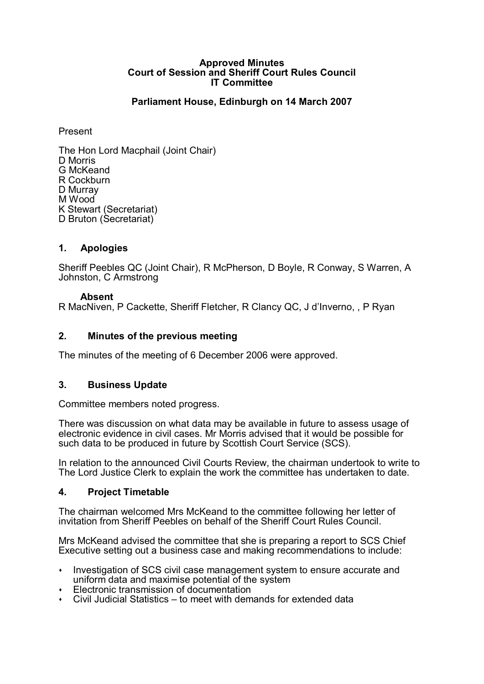#### **Approved Minutes Court of Session and Sheriff Court Rules Council IT Committee**

# **Parliament House, Edinburgh on 14 March 2007**

#### Present

The Hon Lord Macphail (Joint Chair) D Morris G McKeand R Cockburn D Murray M Wood K Stewart (Secretariat) D Bruton (Secretariat)

## **1. Apologies**

Sheriff Peebles QC (Joint Chair), R McPherson, D Boyle, R Conway, S Warren, A Johnston, C Armstrong

#### **Absent**

R MacNiven, P Cackette, Sheriff Fletcher, R Clancy QC, J d'Inverno, , P Ryan

## **2. Minutes of the previous meeting**

The minutes of the meeting of 6 December 2006 were approved.

## **3. Business Update**

Committee members noted progress.

There was discussion on what data may be available in future to assess usage of electronic evidence in civil cases. Mr Morris advised that it would be possible for such data to be produced in future by Scottish Court Service (SCS).

In relation to the announced Civil Courts Review, the chairman undertook to write to The Lord Justice Clerk to explain the work the committee has undertaken to date.

## **4. Project Timetable**

The chairman welcomed Mrs McKeand to the committee following her letter of invitation from Sheriff Peebles on behalf of the Sheriff Court Rules Council.

Mrs McKeand advised the committee that she is preparing a report to SCS Chief Executive setting out a business case and making recommendations to include:

- Investigation of SCS civil case management system to ensure accurate and uniform data and maximise potential of the system
- Electronic transmission of documentation
- $\cdot$  Civil Judicial Statistics to meet with demands for extended data